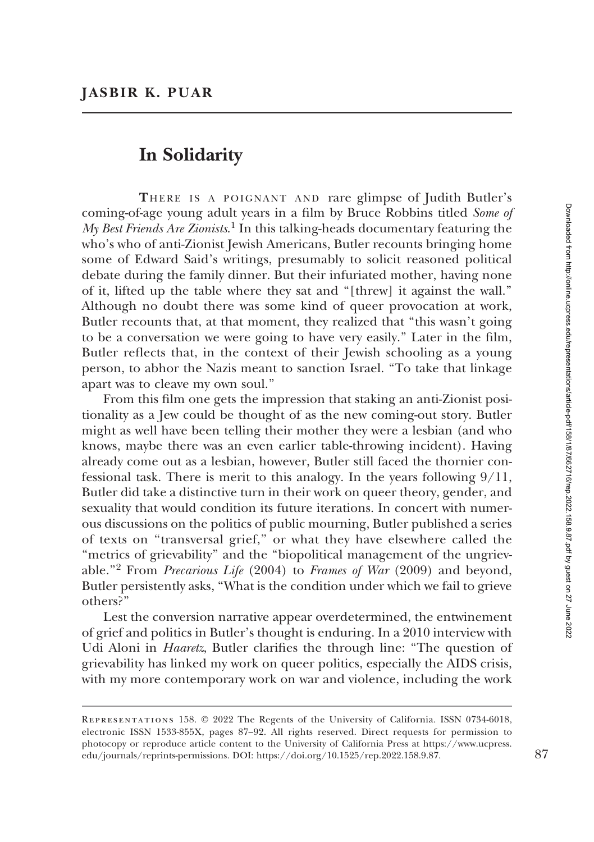## In Solidarity

THERE IS A POIGNANT AND rare glimpse of Judith Butler's coming-of-age young adult years in a film by Bruce Robbins titled Some of My Best Friends Are Zionists.<sup>1</sup> In this talking-heads documentary featuring the who's who of anti-Zionist Jewish Americans, Butler recounts bringing home some of Edward Said's writings, presumably to solicit reasoned political debate during the family dinner. But their infuriated mother, having none of it, lifted up the table where they sat and ''[threw] it against the wall.'' Although no doubt there was some kind of queer provocation at work, Butler recounts that, at that moment, they realized that ''this wasn't going to be a conversation we were going to have very easily.'' Later in the film, Butler reflects that, in the context of their Jewish schooling as a young person, to abhor the Nazis meant to sanction Israel. ''To take that linkage apart was to cleave my own soul.''

From this film one gets the impression that staking an anti-Zionist positionality as a Jew could be thought of as the new coming-out story. Butler might as well have been telling their mother they were a lesbian (and who knows, maybe there was an even earlier table-throwing incident). Having already come out as a lesbian, however, Butler still faced the thornier confessional task. There is merit to this analogy. In the years following 9/11, Butler did take a distinctive turn in their work on queer theory, gender, and sexuality that would condition its future iterations. In concert with numerous discussions on the politics of public mourning, Butler published a series of texts on ''transversal grief,'' or what they have elsewhere called the ''metrics of grievability'' and the ''biopolitical management of the ungrievable."<sup>2</sup> From Precarious Life (2004) to Frames of War (2009) and beyond, Butler persistently asks, ''What is the condition under which we fail to grieve others?''

Lest the conversion narrative appear overdetermined, the entwinement of grief and politics in Butler's thought is enduring. In a 2010 interview with Udi Aloni in *Haaretz*, Butler clarifies the through line: "The question of grievability has linked my work on queer politics, especially the AIDS crisis, with my more contemporary work on war and violence, including the work

Representations 158. © 2022 The Regents of the University of California. ISSN 0734-6018, electronic ISSN 1533-855X, pages 87–92. All rights reserved. Direct requests for permission to photocopy or reproduce article content to the University of California Press at [https://www.ucpress.](https://www.ucpress.edu/journals/reprints-permissions) [edu/journals/reprints-permissions](https://www.ucpress.edu/journals/reprints-permissions). [DOI: https://doi.org/10.1525/rep.2022.158.9.87.](https://doi.org/10.1525/rep.2022.158.9.87) 87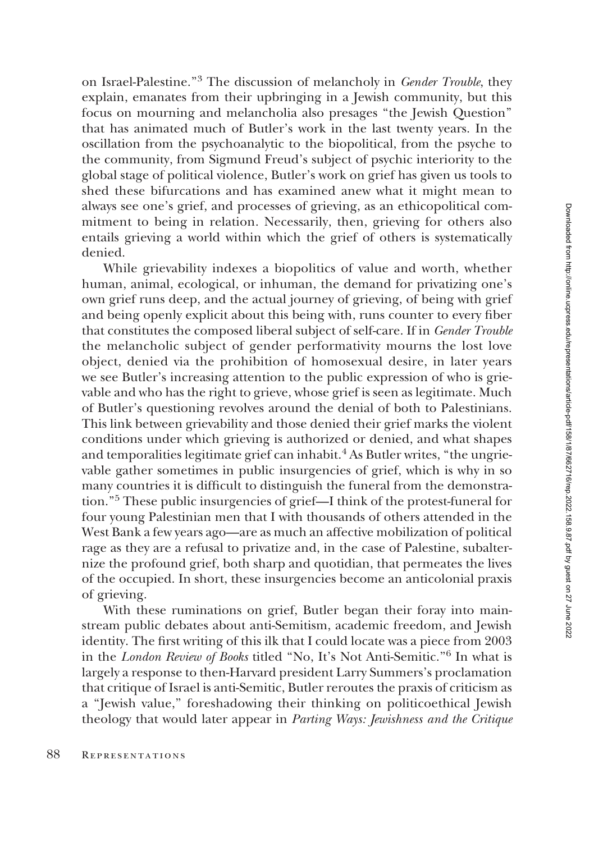on Israel-Palestine.''3 The discussion of melancholy in Gender Trouble, they explain, emanates from their upbringing in a Jewish community, but this focus on mourning and melancholia also presages ''the Jewish Question'' that has animated much of Butler's work in the last twenty years. In the oscillation from the psychoanalytic to the biopolitical, from the psyche to the community, from Sigmund Freud's subject of psychic interiority to the global stage of political violence, Butler's work on grief has given us tools to shed these bifurcations and has examined anew what it might mean to always see one's grief, and processes of grieving, as an ethicopolitical commitment to being in relation. Necessarily, then, grieving for others also entails grieving a world within which the grief of others is systematically denied.

While grievability indexes a biopolitics of value and worth, whether human, animal, ecological, or inhuman, the demand for privatizing one's own grief runs deep, and the actual journey of grieving, of being with grief and being openly explicit about this being with, runs counter to every fiber that constitutes the composed liberal subject of self-care. If in Gender Trouble the melancholic subject of gender performativity mourns the lost love object, denied via the prohibition of homosexual desire, in later years we see Butler's increasing attention to the public expression of who is grievable and who has the right to grieve, whose grief is seen as legitimate. Much of Butler's questioning revolves around the denial of both to Palestinians. This link between grievability and those denied their grief marks the violent conditions under which grieving is authorized or denied, and what shapes and temporalities legitimate grief can inhabit.<sup>4</sup> As Butler writes, "the ungrievable gather sometimes in public insurgencies of grief, which is why in so many countries it is difficult to distinguish the funeral from the demonstration.''<sup>5</sup> These public insurgencies of grief—I think of the protest-funeral for four young Palestinian men that I with thousands of others attended in the West Bank a few years ago—are as much an affective mobilization of political rage as they are a refusal to privatize and, in the case of Palestine, subalternize the profound grief, both sharp and quotidian, that permeates the lives of the occupied. In short, these insurgencies become an anticolonial praxis of grieving.

With these ruminations on grief, Butler began their foray into mainstream public debates about anti-Semitism, academic freedom, and Jewish identity. The first writing of this ilk that I could locate was a piece from 2003 in the London Review of Books titled ''No, It's Not Anti-Semitic.''6 In what is largely a response to then-Harvard president Larry Summers's proclamation that critique of Israel is anti-Semitic, Butler reroutes the praxis of criticism as a ''Jewish value,'' foreshadowing their thinking on politicoethical Jewish theology that would later appear in Parting Ways: Jewishness and the Critique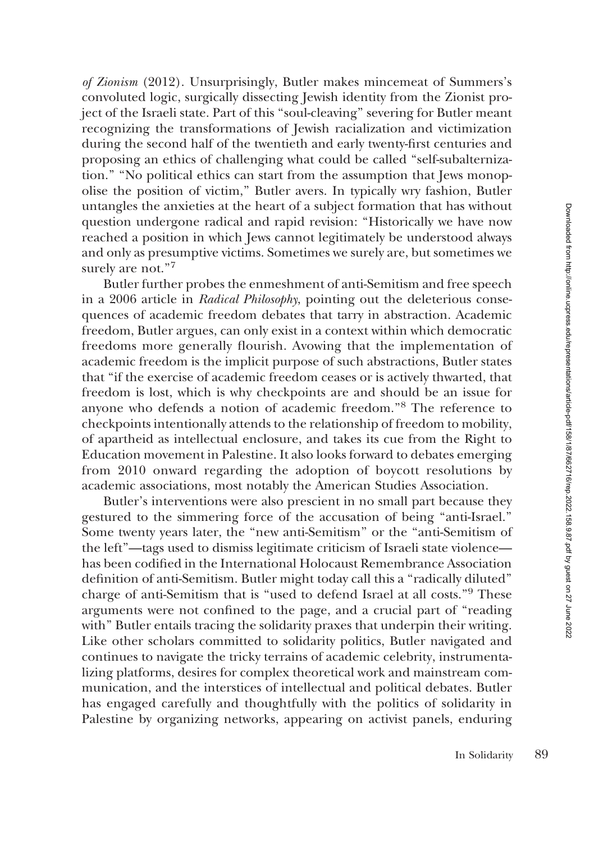of Zionism (2012). Unsurprisingly, Butler makes mincemeat of Summers's convoluted logic, surgically dissecting Jewish identity from the Zionist project of the Israeli state. Part of this ''soul-cleaving'' severing for Butler meant recognizing the transformations of Jewish racialization and victimization during the second half of the twentieth and early twenty-first centuries and proposing an ethics of challenging what could be called ''self-subalternization.'' ''No political ethics can start from the assumption that Jews monopolise the position of victim,'' Butler avers. In typically wry fashion, Butler untangles the anxieties at the heart of a subject formation that has without question undergone radical and rapid revision: ''Historically we have now reached a position in which Jews cannot legitimately be understood always and only as presumptive victims. Sometimes we surely are, but sometimes we surely are not."<sup>7</sup>

Butler further probes the enmeshment of anti-Semitism and free speech in a 2006 article in Radical Philosophy, pointing out the deleterious consequences of academic freedom debates that tarry in abstraction. Academic freedom, Butler argues, can only exist in a context within which democratic freedoms more generally flourish. Avowing that the implementation of academic freedom is the implicit purpose of such abstractions, Butler states that ''if the exercise of academic freedom ceases or is actively thwarted, that freedom is lost, which is why checkpoints are and should be an issue for anyone who defends a notion of academic freedom.''<sup>8</sup> The reference to checkpoints intentionally attends to the relationship of freedom to mobility, of apartheid as intellectual enclosure, and takes its cue from the Right to Education movement in Palestine. It also looks forward to debates emerging from 2010 onward regarding the adoption of boycott resolutions by academic associations, most notably the American Studies Association.

Butler's interventions were also prescient in no small part because they gestured to the simmering force of the accusation of being ''anti-Israel.'' Some twenty years later, the ''new anti-Semitism'' or the ''anti-Semitism of the left''—tags used to dismiss legitimate criticism of Israeli state violence has been codified in the International Holocaust Remembrance Association definition of anti-Semitism. Butler might today call this a ''radically diluted'' charge of anti-Semitism that is ''used to defend Israel at all costs.''<sup>9</sup> These arguments were not confined to the page, and a crucial part of ''reading with'' Butler entails tracing the solidarity praxes that underpin their writing. Like other scholars committed to solidarity politics, Butler navigated and continues to navigate the tricky terrains of academic celebrity, instrumentalizing platforms, desires for complex theoretical work and mainstream communication, and the interstices of intellectual and political debates. Butler has engaged carefully and thoughtfully with the politics of solidarity in Palestine by organizing networks, appearing on activist panels, enduring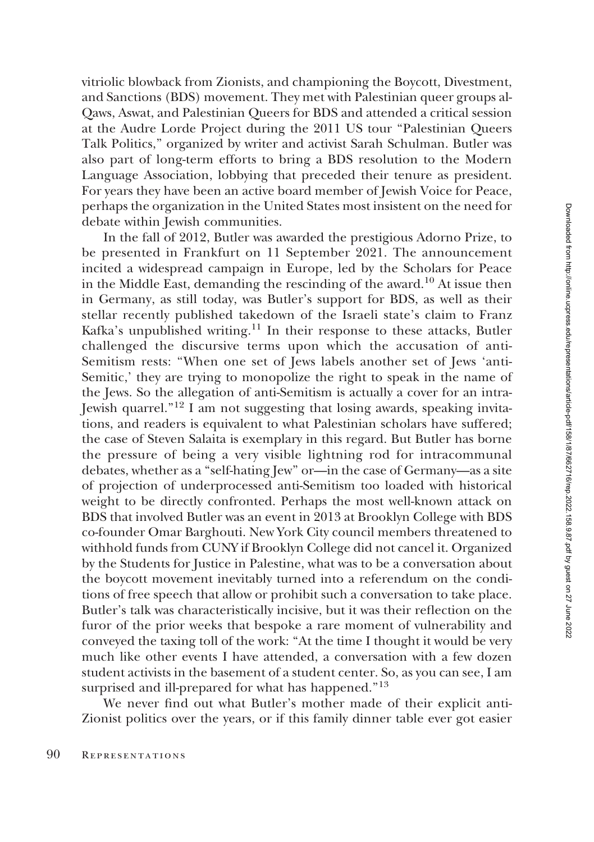vitriolic blowback from Zionists, and championing the Boycott, Divestment, and Sanctions (BDS) movement. They met with Palestinian queer groups al-Qaws, Aswat, and Palestinian Queers for BDS and attended a critical session at the Audre Lorde Project during the 2011 US tour ''Palestinian Queers Talk Politics,'' organized by writer and activist Sarah Schulman. Butler was also part of long-term efforts to bring a BDS resolution to the Modern Language Association, lobbying that preceded their tenure as president. For years they have been an active board member of Jewish Voice for Peace, perhaps the organization in the United States most insistent on the need for debate within Jewish communities.

In the fall of 2012, Butler was awarded the prestigious Adorno Prize, to be presented in Frankfurt on 11 September 2021. The announcement incited a widespread campaign in Europe, led by the Scholars for Peace in the Middle East, demanding the rescinding of the award.10 At issue then in Germany, as still today, was Butler's support for BDS, as well as their stellar recently published takedown of the Israeli state's claim to Franz Kafka's unpublished writing.<sup>11</sup> In their response to these attacks, Butler challenged the discursive terms upon which the accusation of anti-Semitism rests: ''When one set of Jews labels another set of Jews 'anti-Semitic,' they are trying to monopolize the right to speak in the name of the Jews. So the allegation of anti-Semitism is actually a cover for an intra-Jewish quarrel.''12 I am not suggesting that losing awards, speaking invitations, and readers is equivalent to what Palestinian scholars have suffered; the case of Steven Salaita is exemplary in this regard. But Butler has borne the pressure of being a very visible lightning rod for intracommunal debates, whether as a ''self-hating Jew'' or—in the case of Germany—as a site of projection of underprocessed anti-Semitism too loaded with historical weight to be directly confronted. Perhaps the most well-known attack on BDS that involved Butler was an event in 2013 at Brooklyn College with BDS co-founder Omar Barghouti. New York City council members threatened to withhold funds from CUNY if Brooklyn College did not cancel it. Organized by the Students for Justice in Palestine, what was to be a conversation about the boycott movement inevitably turned into a referendum on the conditions of free speech that allow or prohibit such a conversation to take place. Butler's talk was characteristically incisive, but it was their reflection on the furor of the prior weeks that bespoke a rare moment of vulnerability and conveyed the taxing toll of the work: ''At the time I thought it would be very much like other events I have attended, a conversation with a few dozen student activists in the basement of a student center. So, as you can see, I am surprised and ill-prepared for what has happened."<sup>13</sup>

We never find out what Butler's mother made of their explicit anti-Zionist politics over the years, or if this family dinner table ever got easier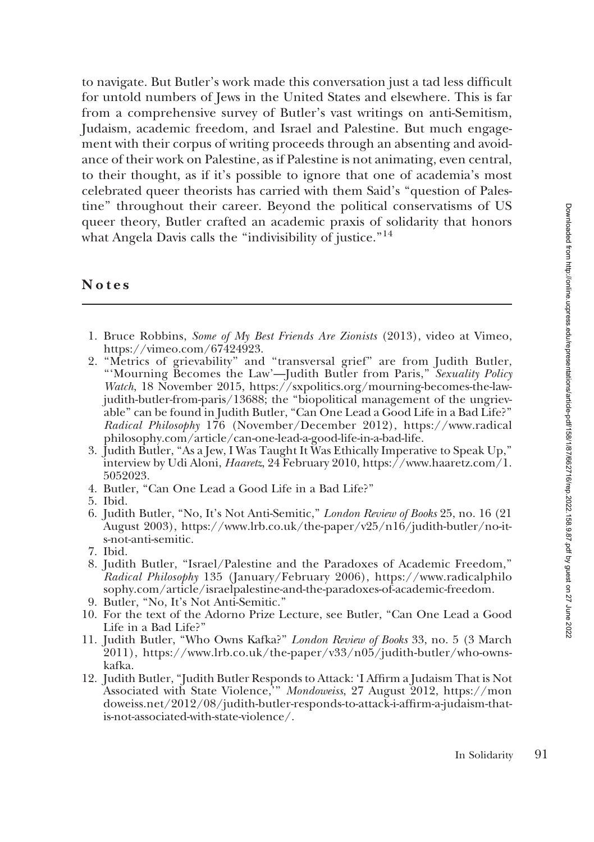to navigate. But Butler's work made this conversation just a tad less difficult for untold numbers of Jews in the United States and elsewhere. This is far from a comprehensive survey of Butler's vast writings on anti-Semitism, Judaism, academic freedom, and Israel and Palestine. But much engagement with their corpus of writing proceeds through an absenting and avoidance of their work on Palestine, as if Palestine is not animating, even central, to their thought, as if it's possible to ignore that one of academia's most celebrated queer theorists has carried with them Said's ''question of Palestine'' throughout their career. Beyond the political conservatisms of US queer theory, Butler crafted an academic praxis of solidarity that honors what Angela Davis calls the "indivisibility of justice."<sup>14</sup>

## Notes

- 1. Bruce Robbins, Some of My Best Friends Are Zionists (2013), video at Vimeo, <https://vimeo.com/67424923>.
- 2. ''Metrics of grievability'' and ''transversal grief'' are from Judith Butler, '''Mourning Becomes the Law'—Judith Butler from Paris,'' Sexuality Policy Watch, 18 November 2015, [https://sxpolitics.org/mourning-becomes-the-law](https://sxpolitics.org/mourning-becomes-the-law-judith-butler-from-paris/13688)[judith-butler-from-paris/13688](https://sxpolitics.org/mourning-becomes-the-law-judith-butler-from-paris/13688); the ''biopolitical management of the ungrievable'' can be found in Judith Butler, ''Can One Lead a Good Life in a Bad Life?'' Radical Philosophy 176 (November/December 2012), [https://www.radical](https://www.radicalphilosophy.com/article/can-one-lead-a-good-life-in-a-bad-life) [philosophy.com/article/can-one-lead-a-good-life-in-a-bad-life.](https://www.radicalphilosophy.com/article/can-one-lead-a-good-life-in-a-bad-life)
- 3. Judith Butler, ''As a Jew, I Was Taught It Was Ethically Imperative to Speak Up,'' interview by Udi Aloni, Haaretz, 24 February 2010, [https://www.haaretz.com/1.](https://www.haaretz.com/1.5052023) [5052023](https://www.haaretz.com/1.5052023).
- 4. Butler, ''Can One Lead a Good Life in a Bad Life?''
- 5. Ibid.
- 6. Judith Butler, ''No, It's Not Anti-Semitic,'' London Review of Books 25, no. 16 (21 August 2003), [https://www.lrb.co.uk/the-paper/v25/n16/judith-butler/no-it](https://www.lrb.co.uk/the-paper/v25/n16/judith-butler/no-it-s-not-anti-semitic)[s-not-anti-semitic](https://www.lrb.co.uk/the-paper/v25/n16/judith-butler/no-it-s-not-anti-semitic).
- 7. Ibid.
- 8. Judith Butler, ''Israel/Palestine and the Paradoxes of Academic Freedom,'' Radical Philosophy 135 (January/February 2006), [https://www.radicalphilo](https://www.radicalphilosophy.com/article/israelpalestine-and-the-paradoxes-of-academic-freedom) [sophy.com/article/israelpalestine-and-the-paradoxes-of-academic-freedom.](https://www.radicalphilosophy.com/article/israelpalestine-and-the-paradoxes-of-academic-freedom)
- 9. Butler, ''No, It's Not Anti-Semitic.''
- 10. For the text of the Adorno Prize Lecture, see Butler, ''Can One Lead a Good Life in a Bad Life?''
- 11. Judith Butler, ''Who Owns Kafka?'' London Review of Books 33, no. 5 (3 March 2011), [https://www.lrb.co.uk/the-paper/v33/n05/judith-butler/who-owns](https://www.lrb.co.uk/the-paper/v33/n05/judith-butler/who-owns-kafka)[kafka](https://www.lrb.co.uk/the-paper/v33/n05/judith-butler/who-owns-kafka).
- 12. Judith Butler, ''Judith Butler Responds to Attack: 'I Affirm a Judaism That is Not Associated with State Violence,<sup>\*</sup>" Mondoweiss, 27 August 2012, [https://mon](https://mondoweiss.net/2012/08/judith-butler-responds-to-attack-i-affirm-a-judaism-that-is-not-associated-with-state-violence/) [doweiss.net/2012/08/judith-butler-responds-to-attack-i-affirm-a-judaism-that](https://mondoweiss.net/2012/08/judith-butler-responds-to-attack-i-affirm-a-judaism-that-is-not-associated-with-state-violence/)[is-not-associated-with-state-violence/.](https://mondoweiss.net/2012/08/judith-butler-responds-to-attack-i-affirm-a-judaism-that-is-not-associated-with-state-violence/)